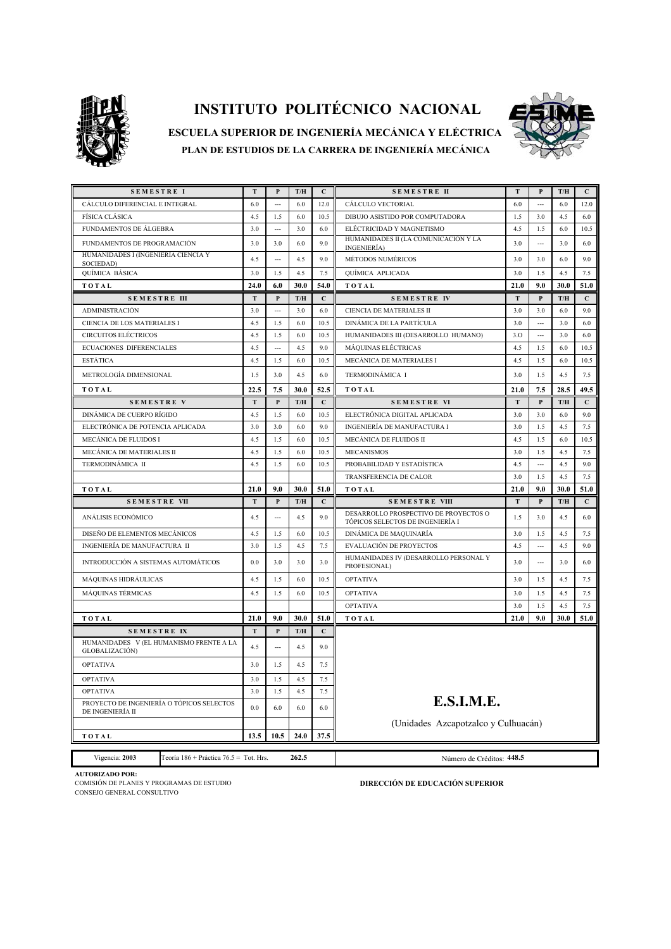

## **INSTITUTO POLITÉCNICO NACIONAL**



**PLAN DE ESTUDIOS DE LA CARRERA DE INGENIERÍA MECÁNICA ESCUELA SUPERIOR DE INGENIERÍA MECÁNICA Y ELÉCTRICA** 

| <b>SEMESTRE I</b>                                             | T              | P              | T/H                     | $\mathbf{C}$ | <b>SEMESTRE II</b>                                                        | T    | P                        | T/H  | $\mathbf{C}$ |  |
|---------------------------------------------------------------|----------------|----------------|-------------------------|--------------|---------------------------------------------------------------------------|------|--------------------------|------|--------------|--|
| CÁLCULO DIFERENCIAL E INTEGRAL                                | 6.0            | $\overline{a}$ | 6.0                     | 12.0         | CÁLCULO VECTORIAL                                                         | 6.0  | $\overline{a}$           | 6.0  | 12.0         |  |
| FÍSICA CLÁSICA                                                | 4.5            | 1.5            | 6.0                     | 10.5         | DIBUJO ASISTIDO POR COMPUTADORA                                           | 1.5  | 3.0                      | 4.5  | 6.0          |  |
| FUNDAMENTOS DE ÁLGEBRA                                        | 3.0            | ---            | 3.0                     | 6.0          | ELÉCTRICIDAD Y MAGNETISMO                                                 | 4.5  | 1.5                      | 6.0  | 10.5         |  |
| FUNDAMENTOS DE PROGRAMACIÓN                                   | 3.0            | 3.0            | 6.0                     | 9.0          | HUMANIDADES II (LA COMUNICACIÓN Y LA<br>INGENIERÍA)                       | 3.0  | $\sim$                   | 3.0  | 6.0          |  |
| HUMANIDADES I (INGENIERIA CIENCIA Y<br>SOCIEDAD)              | 4.5            | $\overline{a}$ | 4.5                     | 9.0          | MÉTODOS NUMÉRICOS                                                         | 3.0  | 3.0                      | 6.0  | 9.0          |  |
| QUÍMICA BÁSICA                                                | 3.0            | 1.5            | 4.5                     | 7.5          | QUÍMICA APLICADA                                                          | 3.0  | 1.5                      | 4.5  | 7.5          |  |
| TOTAL                                                         | 24.0           | 6.0            | 30.0                    | 54.0         | TOTAL                                                                     | 21.0 | 9.0                      | 30.0 | 51.0         |  |
| <b>SEMESTRE III</b>                                           | T              | P              | $\mathbf{T}/\mathbf{H}$ | $\mathbf{C}$ | <b>SEMESTRE IV</b>                                                        | T    | P                        | T/H  | $\mathbf C$  |  |
| <b>ADMINISTRACIÓN</b>                                         | 3.0            | $\sim$         | 3.0                     | 6.0          | CIENCIA DE MATERIALES II                                                  | 3.0  | 3.0                      | 6.0  | 9.0          |  |
| CIENCIA DE LOS MATERIALES I                                   | 4.5            | 1.5            | 6.0                     | 10.5         | DINÁMICA DE LA PARTÍCULA                                                  | 3.0  | $\overline{\phantom{a}}$ | 3.0  | 6.0          |  |
| <b>CIRCUITOS ELÉCTRICOS</b>                                   | 4.5            | 1.5            | 6.0                     | 10.5         | HUMANIDADES III (DESARROLLO HUMANO)                                       | 3.0  | $\overline{a}$           | 3.0  | 6.0          |  |
| <b>ECUACIONES DIFERENCIALES</b>                               | 4.5            | $\sim$         | 4.5                     | 9.0          | <b>MÁQUINAS ELÉCTRICAS</b>                                                | 4.5  | 1.5                      | 6.0  | 10.5         |  |
| <b>ESTÁTICA</b>                                               | 4.5            | 1.5            | 6.0                     | 10.5         | MECÁNICA DE MATERIALES I                                                  | 4.5  | 1.5                      | 6.0  | 10.5         |  |
| METROLOGÍA DIMENSIONAL                                        | 1.5            | 3.0            | 4.5                     | 6.0          | TERMODINÁMICA I                                                           | 3.0  | 1.5                      | 4.5  | 7.5          |  |
| TOTAL                                                         | 22.5           | 7.5            | 30.0                    | 52.5         | TOTAL                                                                     | 21.0 | 7.5                      | 28.5 | 49.5         |  |
| <b>SEMESTRE V</b>                                             | T              | $\mathbf{P}$   | T/H                     | $\mathbf{C}$ | <b>SEMESTRE VI</b>                                                        | T    | P                        | T/H  | $\mathbf{C}$ |  |
| <b>DINÁMICA DE CUERPO RÍGIDO</b>                              | 4.5            | 1.5            | 6.0                     | 10.5         | ELECTRÓNICA DIGITAL APLICADA                                              | 3.0  | 3.0                      | 6.0  | 9.0          |  |
| ELECTRÓNICA DE POTENCIA APLICADA                              | 3.0            | 3.0            | 6.0                     | 9.0          | INGENIERÍA DE MANUFACTURA I                                               | 3.0  | 1.5                      | 4.5  | 7.5          |  |
| MECÁNICA DE FLUIDOS I                                         | 4.5            | 1.5            | 6.0                     | 10.5         | MECÁNICA DE FLUIDOS II                                                    | 4.5  | 1.5                      | 6.0  | 10.5         |  |
| MECÁNICA DE MATERIALES II                                     | 4.5            | 1.5            | 6.0                     | 10.5         | <b>MECANISMOS</b>                                                         | 3.0  | 1.5                      | 4.5  | 7.5          |  |
| TERMODINÁMICA II                                              | 4.5            | 1.5            | 6.0                     | 10.5         | PROBABILIDAD Y ESTADÍSTICA                                                | 4.5  |                          | 4.5  | 9.0          |  |
|                                                               |                |                |                         |              | TRANSFERENCIA DE CALOR                                                    | 3.0  | 1.5                      | 4.5  | 7.5          |  |
| TOTAL                                                         | 21.0           | 9.0            | 30.0                    | 51.0         | TOTAL                                                                     | 21.0 | 9.0                      | 30.0 | 51.0         |  |
| <b>SEMESTRE VII</b>                                           | T              | $\mathbf{P}$   | T/H                     | $\mathbf C$  | <b>SEMESTRE VIII</b>                                                      | T    | $\mathbf{P}$             | T/H  | $\mathbf C$  |  |
| ANÁLISIS ECONÓMICO                                            | 4.5            | $\sim$         | 4.5                     | 90           | DESARROLLO PROSPECTIVO DE PROYECTOS O<br>TÓPICOS SELECTOS DE INGENIERÍA I | 1.5  | 3.0                      | 4.5  | 6.0          |  |
| DISEÑO DE ELEMENTOS MECÁNICOS                                 | 4.5            | 1.5            | 6.0                     | 10.5         | DINÁMICA DE MAQUINARÍA                                                    | 3.0  | 1.5                      | 4.5  | 7.5          |  |
| INGENIERÍA DE MANUFACTURA II                                  | 3.0            | 1.5            | 4.5                     | 7.5          | EVALUACIÓN DE PROYECTOS                                                   | 4.5  | $\sim$                   | 4.5  | 9.0          |  |
| INTRODUCCIÓN A SISTEMAS AUTOMÁTICOS                           | 0.0            | 3.0            | 3.0                     | 3.0          | HUMANIDADES IV (DESARROLLO PERSONAL Y<br>PROFESIONAL)                     | 3.0  | $\overline{\phantom{a}}$ | 3.0  | 6.0          |  |
| MÁQUINAS HIDRÁULICAS                                          | 4.5            | 1.5            | 6.0                     | 10.5         | <b>OPTATIVA</b>                                                           | 3.0  | 1.5                      | 4.5  | 7.5          |  |
| MÁQUINAS TÉRMICAS                                             | 4.5            | 1.5            | 6.0                     | 10.5         | <b>OPTATIVA</b>                                                           | 3.0  | 1.5                      | 4.5  | 7.5          |  |
|                                                               |                |                |                         |              | <b>OPTATIVA</b>                                                           | 3.0  | 1.5                      | 4.5  | 7.5          |  |
| TOTAL                                                         | 21.0           | 9.0            | 30.0                    | 51.0         | TOTAL                                                                     | 21.0 | 9.0                      | 30.0 | 51.0         |  |
| <b>SEMESTRE IX</b>                                            | T              | $\mathbf{P}$   | T/H                     | $\mathbf C$  |                                                                           |      |                          |      |              |  |
| HUMANIDADES V (EL HUMANISMO FRENTE A LA<br>GLOBALIZACIÓN)     | 4.5            | $\overline{a}$ | 4.5                     | 9.0          |                                                                           |      |                          |      |              |  |
| <b>OPTATIVA</b>                                               | 3.0            | 1.5            | 4.5                     | 7.5          |                                                                           |      |                          |      |              |  |
| <b>OPTATIVA</b>                                               | 3.0            | 1.5            | 4.5                     | 7.5          |                                                                           |      |                          |      |              |  |
| <b>OPTATIVA</b>                                               | 3.0            | 1.5            | 4.5                     | 7.5          |                                                                           |      |                          |      |              |  |
| PROYECTO DE INGENIERÍA O TÓPICOS SELECTOS<br>DE INGENIERÍA II | 0 <sub>0</sub> | 6.0            | 6.0                     | $6.0\,$      | E.S.I.M.E.                                                                |      |                          |      |              |  |
|                                                               |                |                |                         |              | (Unidades Azcapotzalco y Culhuacán)                                       |      |                          |      |              |  |
| TOTAL                                                         | 13.5           | 10.5           | 24.0                    | 37.5         |                                                                           |      |                          |      |              |  |

 **AUTORIZADO POR:**

CONSEJO GENERAL CONSULTIVO

Vigencia: **2003** Teoría 186 + Práctica 76.5 = Tot. Hrs. **262.5**

COMISIÓN DE PLANES Y PROGRAMAS DE ESTUDIO **DIRECCIÓN DE EDUCACIÓN SUPERIOR**

Número de Créditos: **448.5**